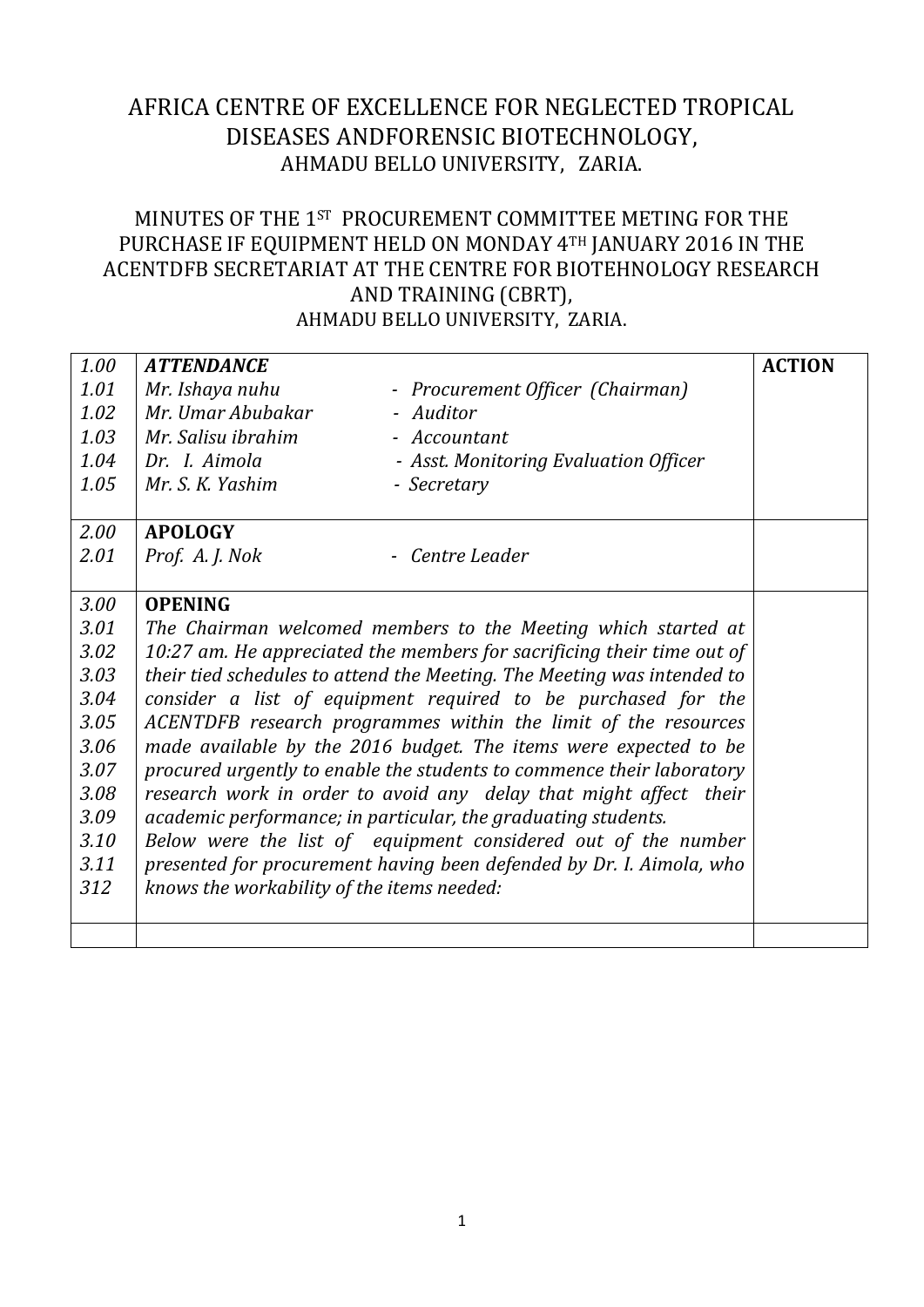## AFRICA CENTRE OF EXCELLENCE FOR NEGLECTED TROPICAL DISEASES ANDFORENSIC BIOTECHNOLOGY, AHMADU BELLO UNIVERSITY, ZARIA.

## MINUTES OF THE 1ST PROCUREMENT COMMITTEE METING FOR THE PURCHASE IF EQUIPMENT HELD ON MONDAY 4TH JANUARY 2016 IN THE ACENTDFB SECRETARIAT AT THE CENTRE FOR BIOTEHNOLOGY RESEARCH AND TRAINING (CBRT), AHMADU BELLO UNIVERSITY, ZARIA.

| 1.00 | <b>ATTENDANCE</b>                                                      |                                                                         | <b>ACTION</b> |  |  |  |
|------|------------------------------------------------------------------------|-------------------------------------------------------------------------|---------------|--|--|--|
| 1.01 | Mr. Ishaya nuhu                                                        | - Procurement Officer (Chairman)                                        |               |  |  |  |
| 1.02 | Mr. Umar Abubakar                                                      | - Auditor                                                               |               |  |  |  |
| 1.03 | Mr. Salisu ibrahim                                                     | - Accountant                                                            |               |  |  |  |
| 1.04 | Dr. I. Aimola                                                          | - Asst. Monitoring Evaluation Officer                                   |               |  |  |  |
| 1.05 | Mr. S. K. Yashim                                                       | - Secretary                                                             |               |  |  |  |
| 2.00 | <b>APOLOGY</b>                                                         |                                                                         |               |  |  |  |
| 2.01 | Prof. A. J. Nok                                                        | - Centre Leader                                                         |               |  |  |  |
| 3.00 | <b>OPENING</b>                                                         |                                                                         |               |  |  |  |
| 3.01 |                                                                        | The Chairman welcomed members to the Meeting which started at           |               |  |  |  |
| 3.02 | 10:27 am. He appreciated the members for sacrificing their time out of |                                                                         |               |  |  |  |
| 3.03 |                                                                        | their tied schedules to attend the Meeting. The Meeting was intended to |               |  |  |  |
| 3.04 |                                                                        | consider a list of equipment required to be purchased for the           |               |  |  |  |
| 3.05 | ACENTDFB research programmes within the limit of the resources         |                                                                         |               |  |  |  |
| 3.06 | made available by the 2016 budget. The items were expected to be       |                                                                         |               |  |  |  |
| 3.07 | procured urgently to enable the students to commence their laboratory  |                                                                         |               |  |  |  |
| 3.08 |                                                                        | research work in order to avoid any delay that might affect their       |               |  |  |  |
| 3.09 |                                                                        | academic performance; in particular, the graduating students.           |               |  |  |  |
| 3.10 |                                                                        | Below were the list of equipment considered out of the number           |               |  |  |  |
| 3.11 |                                                                        | presented for procurement having been defended by Dr. I. Aimola, who    |               |  |  |  |
| 312  | knows the workability of the items needed:                             |                                                                         |               |  |  |  |
|      |                                                                        |                                                                         |               |  |  |  |